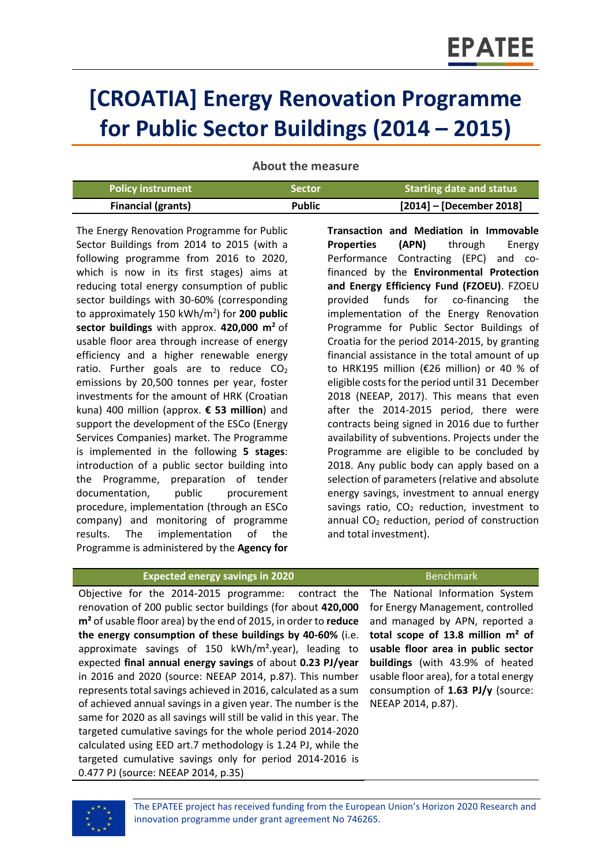# **[CROATIA] Energy Renovation Programme for Public Sector Buildings (2014 – 2015)**

**About the measure**

| <b>Policy instrument</b>  | <b>Sector</b> | <b>Starting date and status</b> |
|---------------------------|---------------|---------------------------------|
| <b>Financial (grants)</b> | <b>Public</b> | $[2014]$ – [December 2018]      |

The Energy Renovation Programme for Public Sector Buildings from 2014 to 2015 (with a following programme from 2016 to 2020, which is now in its first stages) aims at reducing total energy consumption of public sector buildings with 30-60% (corresponding to approximately 150 kWh/m<sup>2</sup> ) for **200 public sector buildings** with approx. **420,000 m<sup>2</sup>** of usable floor area through increase of energy efficiency and a higher renewable energy ratio. Further goals are to reduce  $CO<sub>2</sub>$ emissions by 20,500 tonnes per year, foster investments for the amount of HRK (Croatian kuna) 400 million (approx. **€ 53 million**) and support the development of the ESCo (Energy Services Companies) market. The Programme is implemented in the following **5 stages**: introduction of a public sector building into the Programme, preparation of tender documentation, public procurement procedure, implementation (through an ESCo company) and monitoring of programme results. The implementation of the Programme is administered by the **Agency for**  **Transaction and Mediation in Immovable Properties (APN)** through Energy Performance Contracting (EPC) and cofinanced by the **Environmental Protection and Energy Efficiency Fund (FZOEU)**. FZOEU provided funds for co-financing the implementation of the Energy Renovation Programme for Public Sector Buildings of Croatia for the period 2014-2015, by granting financial assistance in the total amount of up to HRK195 million (€26 million) or 40 % of eligible costs for the period until 31 December 2018 (NEEAP, 2017). This means that even after the 2014-2015 period, there were contracts being signed in 2016 due to further availability of subventions. Projects under the Programme are eligible to be concluded by 2018. Any public body can apply based on a selection of parameters (relative and absolute energy savings, investment to annual energy savings ratio,  $CO<sub>2</sub>$  reduction, investment to annual  $CO<sub>2</sub>$  reduction, period of construction and total investment).

# **Expected energy savings in 2020** Benchmark

Objective for the 2014-2015 programme: contract the renovation of 200 public sector buildings (for about **420,000 m²** of usable floor area) by the end of 2015, in order to **reduce the energy consumption of these buildings by 40-60%** (i.e. approximate savings of 150 kWh/m².year), leading to expected **final annual energy savings** of about **0.23 PJ/year** in 2016 and 2020 (source: NEEAP 2014, p.87). This number represents total savings achieved in 2016, calculated as a sum of achieved annual savings in a given year. The number is the same for 2020 as all savings will still be valid in this year. The targeted cumulative savings for the whole period 2014-2020 calculated using EED art.7 methodology is 1.24 PJ, while the targeted cumulative savings only for period 2014-2016 is 0.477 PJ (source: NEEAP 2014, p.35)

The National Information System for Energy Management, controlled and managed by APN, reported a **total scope of 13.8 million m² of usable floor area in public sector buildings** (with 43.9% of heated usable floor area), for a total energy consumption of **1.63 PJ/y** (source: NEEAP 2014, p.87).



The EPATEE project has received funding from the European Union's Horizon 2020 Research and innovation programme under grant agreement No 746265.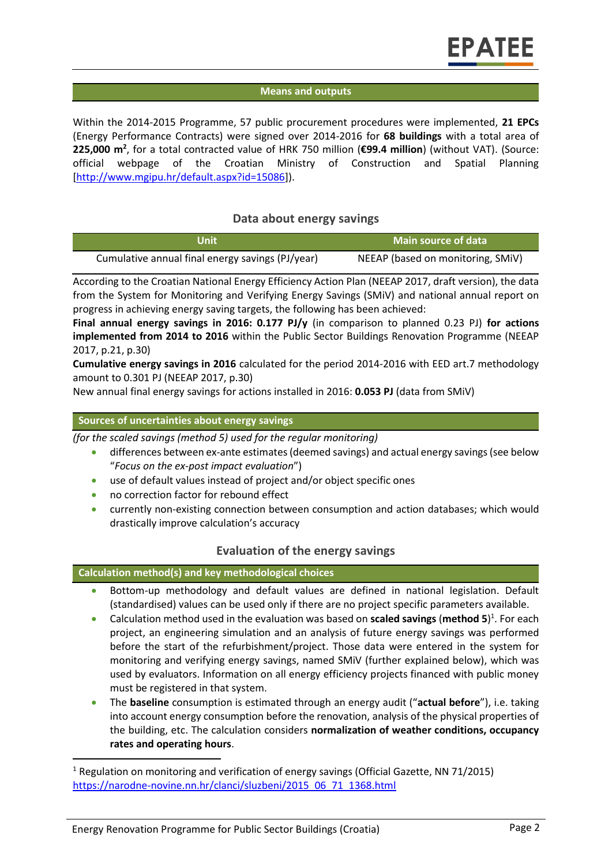# **Means and outputs**

Within the 2014-2015 Programme, 57 public procurement procedures were implemented, **21 EPCs** (Energy Performance Contracts) were signed over 2014-2016 for **68 buildings** with a total area of **225,000 m<sup>2</sup>** , for a total contracted value of HRK 750 million (**€99.4 million**) (without VAT). (Source: official webpage of the Croatian Ministry of Construction and Spatial Planning [\[http://www.mgipu.hr/default.aspx?id=15086\]](http://www.mgipu.hr/default.aspx?id=15086)).

# **Data about energy savings**

| Unit                                             | Main source of data               |
|--------------------------------------------------|-----------------------------------|
| Cumulative annual final energy savings (PJ/year) | NEEAP (based on monitoring, SMIV) |

According to the Croatian National Energy Efficiency Action Plan (NEEAP 2017, draft version), the data from the System for Monitoring and Verifying Energy Savings (SMiV) and national annual report on progress in achieving energy saving targets, the following has been achieved:

**Final annual energy savings in 2016: 0.177 PJ/y** (in comparison to planned 0.23 PJ) **for actions implemented from 2014 to 2016** within the Public Sector Buildings Renovation Programme (NEEAP 2017, p.21, p.30)

**Cumulative energy savings in 2016** calculated for the period 2014-2016 with EED art.7 methodology amount to 0.301 PJ (NEEAP 2017, p.30)

New annual final energy savings for actions installed in 2016: **0.053 PJ** (data from SMiV)

#### **Sources of uncertainties about energy savings**

*(for the scaled savings (method 5) used for the regular monitoring)*

- differences between ex-ante estimates (deemed savings) and actual energy savings (see below "*Focus on the ex-post impact evaluation*")
- use of default values instead of project and/or object specific ones
- no correction factor for rebound effect
- currently non-existing connection between consumption and action databases; which would drastically improve calculation's accuracy

# **Evaluation of the energy savings**

#### **Calculation method(s) and key methodological choices**

- Bottom-up methodology and default values are defined in national legislation. Default (standardised) values can be used only if there are no project specific parameters available.
- Calculation method used in the evaluation was based on **scaled savings** (**method 5**) 1 . For each project, an engineering simulation and an analysis of future energy savings was performed before the start of the refurbishment/project. Those data were entered in the system for monitoring and verifying energy savings, named SMiV (further explained below), which was used by evaluators. Information on all energy efficiency projects financed with public money must be registered in that system.
- The **baseline** consumption is estimated through an energy audit ("**actual before**"), i.e. taking into account energy consumption before the renovation, analysis of the physical properties of the building, etc. The calculation considers **normalization of weather conditions, occupancy rates and operating hours**.

l

<sup>&</sup>lt;sup>1</sup> Regulation on monitoring and verification of energy savings (Official Gazette, NN 71/2015) [https://narodne-novine.nn.hr/clanci/sluzbeni/2015\\_06\\_71\\_1368.html](https://narodne-novine.nn.hr/clanci/sluzbeni/2015_06_71_1368.html)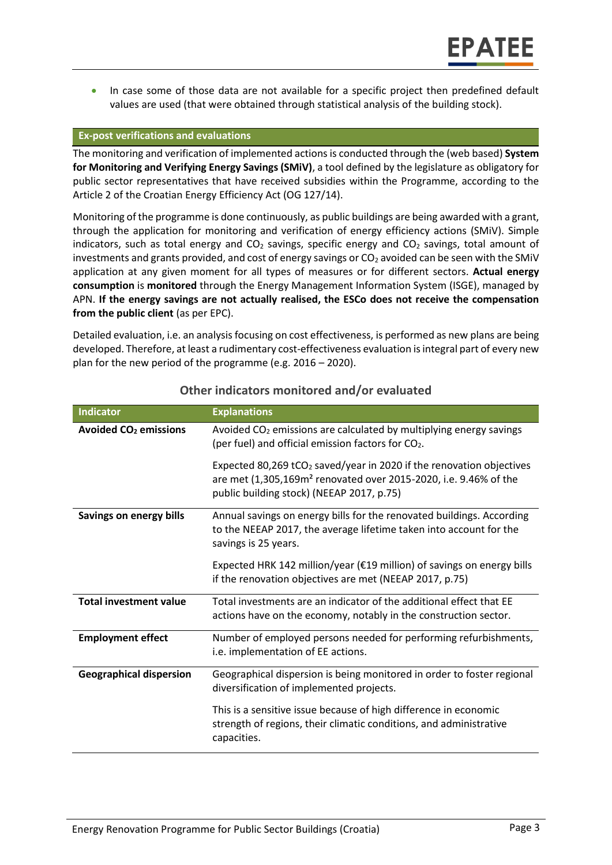In case some of those data are not available for a specific project then predefined default values are used (that were obtained through statistical analysis of the building stock).

#### **Ex-post verifications and evaluations**

The monitoring and verification of implemented actions is conducted through the (web based) **System for Monitoring and Verifying Energy Savings (SMiV)**, a tool defined by the legislature as obligatory for public sector representatives that have received subsidies within the Programme, according to the Article 2 of the Croatian Energy Efficiency Act (OG 127/14).

Monitoring of the programme is done continuously, as public buildings are being awarded with a grant, through the application for monitoring and verification of energy efficiency actions (SMiV). Simple indicators, such as total energy and  $CO<sub>2</sub>$  savings, specific energy and  $CO<sub>2</sub>$  savings, total amount of investments and grants provided, and cost of energy savings or  $CO<sub>2</sub>$  avoided can be seen with the SMIV application at any given moment for all types of measures or for different sectors. **Actual energy consumption** is **monitored** through the Energy Management Information System (ISGE), managed by APN. **If the energy savings are not actually realised, the ESCo does not receive the compensation from the public client** (as per EPC).

Detailed evaluation, i.e. an analysis focusing on cost effectiveness, is performed as new plans are being developed. Therefore, at least a rudimentary cost-effectiveness evaluation is integral part of every new plan for the new period of the programme (e.g. 2016 – 2020).

| Indicator                               | <b>Explanations</b>                                                                                                                                                                                           |
|-----------------------------------------|---------------------------------------------------------------------------------------------------------------------------------------------------------------------------------------------------------------|
| <b>Avoided CO<sub>2</sub></b> emissions | Avoided CO <sub>2</sub> emissions are calculated by multiplying energy savings<br>(per fuel) and official emission factors for CO <sub>2</sub> .                                                              |
|                                         | Expected 80,269 tCO <sub>2</sub> saved/year in 2020 if the renovation objectives<br>are met (1,305,169m <sup>2</sup> renovated over 2015-2020, i.e. 9.46% of the<br>public building stock) (NEEAP 2017, p.75) |
| Savings on energy bills                 | Annual savings on energy bills for the renovated buildings. According<br>to the NEEAP 2017, the average lifetime taken into account for the<br>savings is 25 years.                                           |
|                                         | Expected HRK 142 million/year ( $\epsilon$ 19 million) of savings on energy bills<br>if the renovation objectives are met (NEEAP 2017, p.75)                                                                  |
| <b>Total investment value</b>           | Total investments are an indicator of the additional effect that EE<br>actions have on the economy, notably in the construction sector.                                                                       |
| <b>Employment effect</b>                | Number of employed persons needed for performing refurbishments,<br>i.e. implementation of EE actions.                                                                                                        |
| <b>Geographical dispersion</b>          | Geographical dispersion is being monitored in order to foster regional<br>diversification of implemented projects.                                                                                            |
|                                         | This is a sensitive issue because of high difference in economic<br>strength of regions, their climatic conditions, and administrative<br>capacities.                                                         |

# **Other indicators monitored and/or evaluated**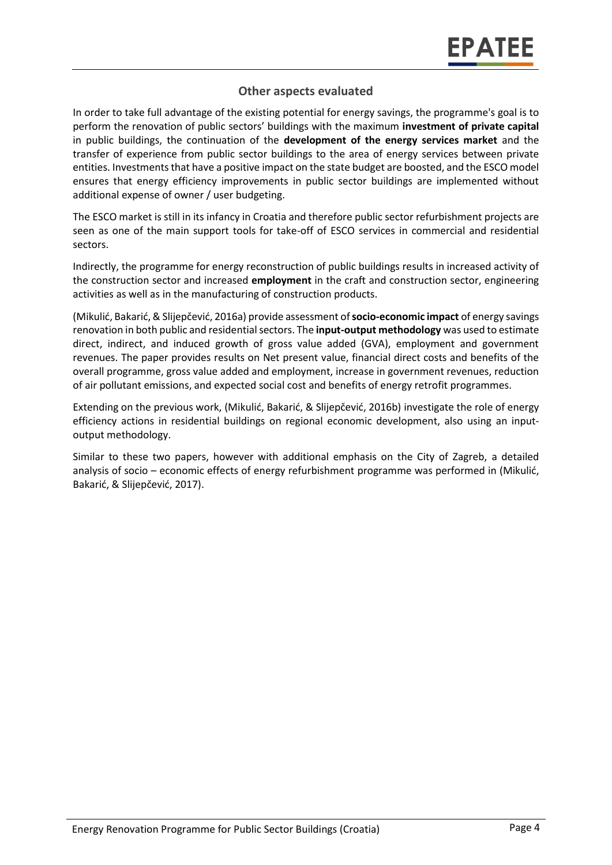# **Other aspects evaluated**

In order to take full advantage of the existing potential for energy savings, the programme's goal is to perform the renovation of public sectors' buildings with the maximum **investment of private capital** in public buildings, the continuation of the **development of the energy services market** and the transfer of experience from public sector buildings to the area of energy services between private entities. Investments that have a positive impact on the state budget are boosted, and the ESCO model ensures that energy efficiency improvements in public sector buildings are implemented without additional expense of owner / user budgeting.

The ESCO market is still in its infancy in Croatia and therefore public sector refurbishment projects are seen as one of the main support tools for take-off of ESCO services in commercial and residential sectors.

Indirectly, the programme for energy reconstruction of public buildings results in increased activity of the construction sector and increased **employment** in the craft and construction sector, engineering activities as well as in the manufacturing of construction products.

(Mikulić, Bakarić, & Slijepčević, 2016a) provide assessment of **socio-economic impact** of energy savings renovation in both public and residential sectors. The **input-output methodology** was used to estimate direct, indirect, and induced growth of gross value added (GVA), employment and government revenues. The paper provides results on Net present value, financial direct costs and benefits of the overall programme, gross value added and employment, increase in government revenues, reduction of air pollutant emissions, and expected social cost and benefits of energy retrofit programmes.

Extending on the previous work, (Mikulić, Bakarić, & Slijepčević, 2016b) investigate the role of energy efficiency actions in residential buildings on regional economic development, also using an inputoutput methodology.

Similar to these two papers, however with additional emphasis on the City of Zagreb, a detailed analysis of socio – economic effects of energy refurbishment programme was performed in (Mikulić, Bakarić, & Slijepčević, 2017).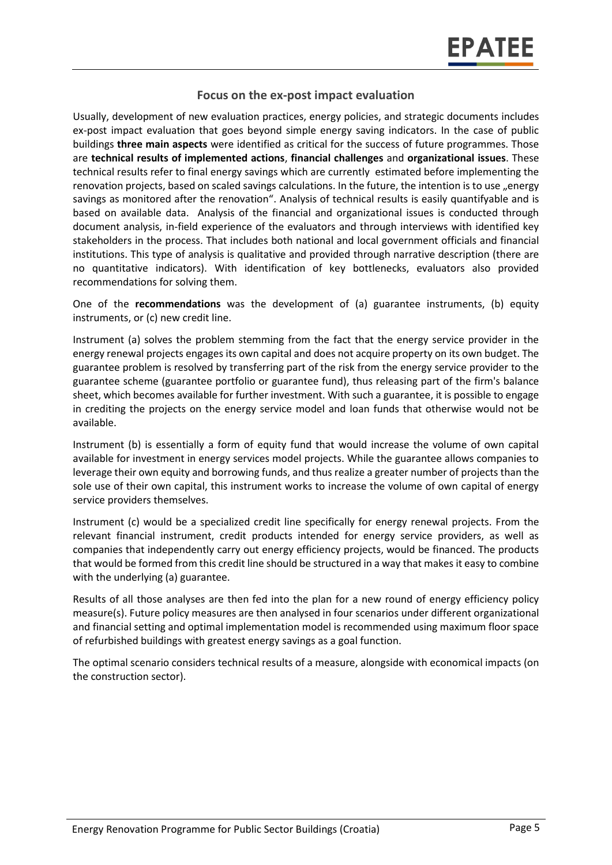# **Focus on the ex-post impact evaluation**

Usually, development of new evaluation practices, energy policies, and strategic documents includes ex-post impact evaluation that goes beyond simple energy saving indicators. In the case of public buildings **three main aspects** were identified as critical for the success of future programmes. Those are **technical results of implemented actions**, **financial challenges** and **organizational issues**. These technical results refer to final energy savings which are currently estimated before implementing the renovation projects, based on scaled savings calculations. In the future, the intention is to use "energy savings as monitored after the renovation". Analysis of technical results is easily quantifyable and is based on available data. Analysis of the financial and organizational issues is conducted through document analysis, in-field experience of the evaluators and through interviews with identified key stakeholders in the process. That includes both national and local government officials and financial institutions. This type of analysis is qualitative and provided through narrative description (there are no quantitative indicators). With identification of key bottlenecks, evaluators also provided recommendations for solving them.

One of the **recommendations** was the development of (a) guarantee instruments, (b) equity instruments, or (c) new credit line.

Instrument (a) solves the problem stemming from the fact that the energy service provider in the energy renewal projects engages its own capital and does not acquire property on its own budget. The guarantee problem is resolved by transferring part of the risk from the energy service provider to the guarantee scheme (guarantee portfolio or guarantee fund), thus releasing part of the firm's balance sheet, which becomes available for further investment. With such a guarantee, it is possible to engage in crediting the projects on the energy service model and loan funds that otherwise would not be available.

Instrument (b) is essentially a form of equity fund that would increase the volume of own capital available for investment in energy services model projects. While the guarantee allows companies to leverage their own equity and borrowing funds, and thus realize a greater number of projects than the sole use of their own capital, this instrument works to increase the volume of own capital of energy service providers themselves.

Instrument (c) would be a specialized credit line specifically for energy renewal projects. From the relevant financial instrument, credit products intended for energy service providers, as well as companies that independently carry out energy efficiency projects, would be financed. The products that would be formed from this credit line should be structured in a way that makes it easy to combine with the underlying (a) guarantee.

Results of all those analyses are then fed into the plan for a new round of energy efficiency policy measure(s). Future policy measures are then analysed in four scenarios under different organizational and financial setting and optimal implementation model is recommended using maximum floor space of refurbished buildings with greatest energy savings as a goal function.

The optimal scenario considers technical results of a measure, alongside with economical impacts (on the construction sector).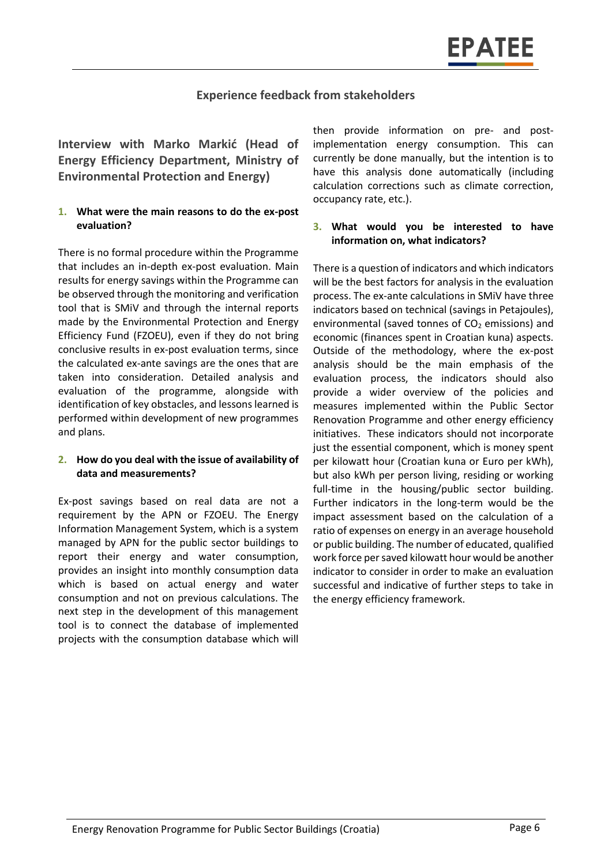# **Experience feedback from stakeholders**

**Interview with Marko Markić (Head of Energy Efficiency Department, Ministry of Environmental Protection and Energy)**

#### **1. What were the main reasons to do the ex-post evaluation?**

There is no formal procedure within the Programme that includes an in-depth ex-post evaluation. Main results for energy savings within the Programme can be observed through the monitoring and verification tool that is SMiV and through the internal reports made by the Environmental Protection and Energy Efficiency Fund (FZOEU), even if they do not bring conclusive results in ex-post evaluation terms, since the calculated ex-ante savings are the ones that are taken into consideration. Detailed analysis and evaluation of the programme, alongside with identification of key obstacles, and lessons learned is performed within development of new programmes and plans.

#### **2. How do you deal with the issue of availability of data and measurements?**

Ex-post savings based on real data are not a requirement by the APN or FZOEU. The Energy Information Management System, which is a system managed by APN for the public sector buildings to report their energy and water consumption, provides an insight into monthly consumption data which is based on actual energy and water consumption and not on previous calculations. The next step in the development of this management tool is to connect the database of implemented projects with the consumption database which will

then provide information on pre- and postimplementation energy consumption. This can currently be done manually, but the intention is to have this analysis done automatically (including calculation corrections such as climate correction, occupancy rate, etc.).

#### **3. What would you be interested to have information on, what indicators?**

There is a question of indicators and which indicators will be the best factors for analysis in the evaluation process. The ex-ante calculations in SMiV have three indicators based on technical (savings in Petajoules), environmental (saved tonnes of  $CO<sub>2</sub>$  emissions) and economic (finances spent in Croatian kuna) aspects. Outside of the methodology, where the ex-post analysis should be the main emphasis of the evaluation process, the indicators should also provide a wider overview of the policies and measures implemented within the Public Sector Renovation Programme and other energy efficiency initiatives. These indicators should not incorporate just the essential component, which is money spent per kilowatt hour (Croatian kuna or Euro per kWh), but also kWh per person living, residing or working full-time in the housing/public sector building. Further indicators in the long-term would be the impact assessment based on the calculation of a ratio of expenses on energy in an average household or public building. The number of educated, qualified work force per saved kilowatt hour would be another indicator to consider in order to make an evaluation successful and indicative of further steps to take in the energy efficiency framework.